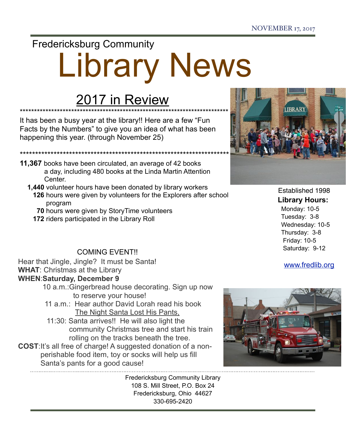### Fredericksburg Community

# Library News

## 2017 in Review

\*\*\*\*\*\*\*\*\*\*\*\*\*\*\*\*\*\*\*\*\*\*\*\*\*\*\*\*\*\*\*\*\*\*\*\*\*\*\*\*\*\*\*\*\*\*\*\*\*\*\*\*\*\*\*\*\*\*\*\*\*\*\*\*\*\*\*\*\*\*\*\*\* It has been a busy year at the library!! Here are a few "Fun Facts by the Numbers" to give you an idea of what has been happening this year. (through November 25)

- **11,367** books have been circulated, an average of 42 books a day, including 480 books at the Linda Martin Attention **Center** 
	- **1,440** volunteer hours have been donated by library workers  **126** hours were given by volunteers for the Explorers after school program
		- **70** hours were given by StoryTime volunteers
		- **172** riders participated in the Library Roll

\*\*\*\*\*\*\*\*\*\*\*\*\*\*\*\*\*\*\*\*\*\*\*\*\*\*\*\*\*\*\*\*\*\*\*\*\*\*\*\*\*\*\*\*\*\*\*\*\*\*\*\*\*\*\*\*\*\*\*\*\*\*\*\*\*\*\*\*

#### COMING EVENT!!

Hear that Jingle, Jingle? It must be Santa! **WHAT**: Christmas at the Library **WHEN**:**Saturday, December 9** 

- 10 a.m.:Gingerbread house decorating. Sign up now to reserve your house!
- 11 a.m.: Hear author David Lorah read his book The Night Santa Lost His Pants,
	- 11:30: Santa arrives!! He will also light the community Christmas tree and start his train rolling on the tracks beneath the tree.
- **COST**:It's all free of charge! A suggested donation of a non perishable food item, toy or socks will help us fill Santa's pants for a good cause!

Fredericksburg Community Library 108 S. Mill Street, P.O. Box 24 Fredericksburg, Ohio 44627 330-695-2420



 Established 1998 **Library Hours:** Monday: 10-5 Tuesday: 3-8 Wednesday: 10-5 Thursday: 3-8 Friday: 10-5 Saturday: 9-12

[www.fredlib.org](http://www.fredlib.org)